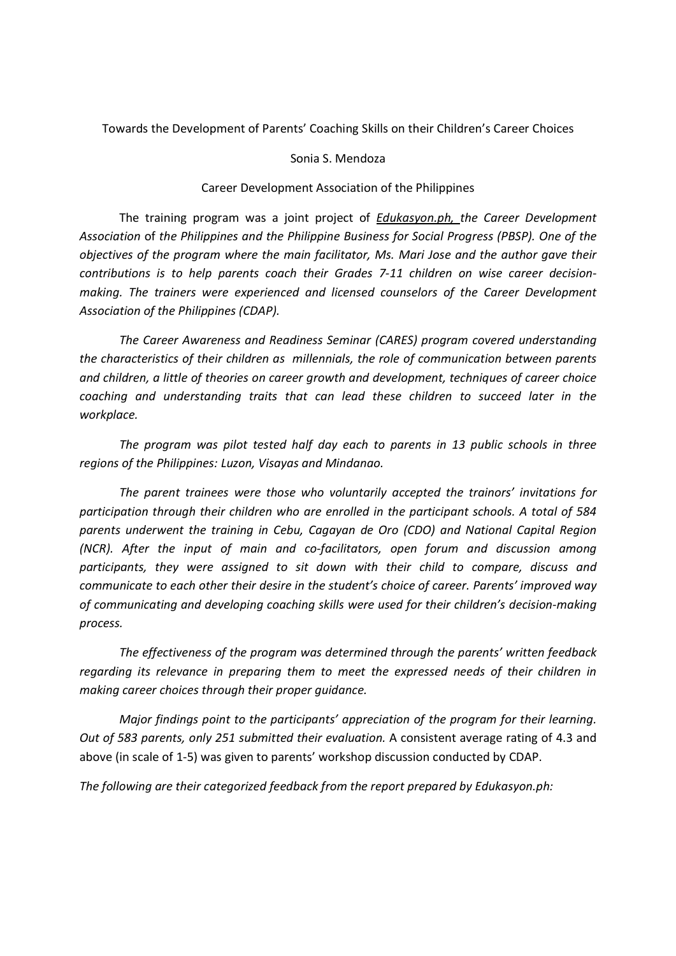Towards the Development of Parents' Coaching Skills on their Children's Career Choices

## Sonia S. Mendoza

## Career Development Association of the Philippines

 The training program was a joint project of Edukasyon.ph, the Career Development Association of the Philippines and the Philippine Business for Social Progress (PBSP). One of the objectives of the program where the main facilitator, Ms. Mari Jose and the author gave their contributions is to help parents coach their Grades 7-11 children on wise career decisionmaking. The trainers were experienced and licensed counselors of the Career Development Association of the Philippines (CDAP).

 The Career Awareness and Readiness Seminar (CARES) program covered understanding the characteristics of their children as millennials, the role of communication between parents and children, a little of theories on career growth and development, techniques of career choice coaching and understanding traits that can lead these children to succeed later in the workplace.

 The program was pilot tested half day each to parents in 13 public schools in three regions of the Philippines: Luzon, Visayas and Mindanao.

 The parent trainees were those who voluntarily accepted the trainors' invitations for participation through their children who are enrolled in the participant schools. A total of 584 parents underwent the training in Cebu, Cagayan de Oro (CDO) and National Capital Region (NCR). After the input of main and co-facilitators, open forum and discussion among participants, they were assigned to sit down with their child to compare, discuss and communicate to each other their desire in the student's choice of career. Parents' improved way of communicating and developing coaching skills were used for their children's decision-making process.

 The effectiveness of the program was determined through the parents' written feedback regarding its relevance in preparing them to meet the expressed needs of their children in making career choices through their proper guidance.

 Major findings point to the participants' appreciation of the program for their learning. Out of 583 parents, only 251 submitted their evaluation. A consistent average rating of 4.3 and above (in scale of 1-5) was given to parents' workshop discussion conducted by CDAP.

The following are their categorized feedback from the report prepared by Edukasyon.ph: